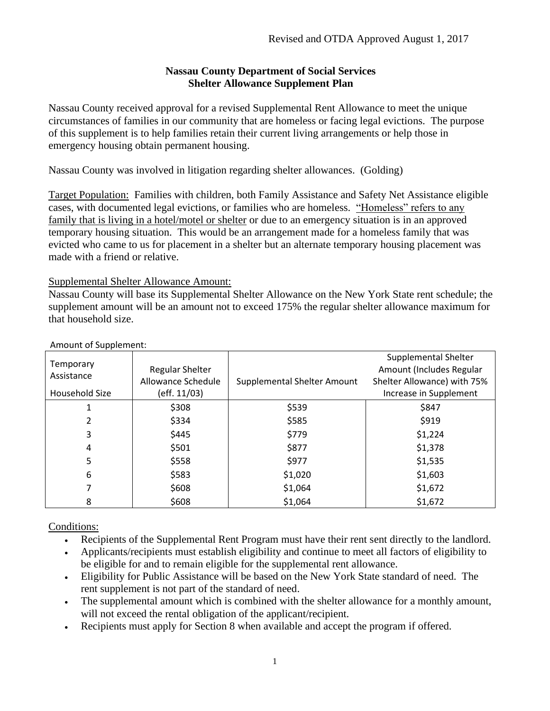## **Nassau County Department of Social Services Shelter Allowance Supplement Plan**

Nassau County received approval for a revised Supplemental Rent Allowance to meet the unique circumstances of families in our community that are homeless or facing legal evictions. The purpose of this supplement is to help families retain their current living arrangements or help those in emergency housing obtain permanent housing.

Nassau County was involved in litigation regarding shelter allowances. (Golding)

Target Population: Families with children, both Family Assistance and Safety Net Assistance eligible cases, with documented legal evictions, or families who are homeless. "Homeless" refers to any family that is living in a hotel/motel or shelter or due to an emergency situation is in an approved temporary housing situation. This would be an arrangement made for a homeless family that was evicted who came to us for placement in a shelter but an alternate temporary housing placement was made with a friend or relative.

Supplemental Shelter Allowance Amount:

Nassau County will base its Supplemental Shelter Allowance on the New York State rent schedule; the supplement amount will be an amount not to exceed 175% the regular shelter allowance maximum for that household size.

| . . <b>.</b> .<br>Temporary<br>Assistance<br>Household Size | Regular Shelter<br>Allowance Schedule<br>(eff. 11/03) | <b>Supplemental Shelter Amount</b> | Supplemental Shelter<br>Amount (Includes Regular<br>Shelter Allowance) with 75%<br>Increase in Supplement |
|-------------------------------------------------------------|-------------------------------------------------------|------------------------------------|-----------------------------------------------------------------------------------------------------------|
|                                                             |                                                       |                                    |                                                                                                           |
|                                                             | \$308                                                 | \$539                              | \$847                                                                                                     |
| 2                                                           | \$334                                                 | \$585                              | \$919                                                                                                     |
| 3                                                           | \$445                                                 | \$779                              | \$1,224                                                                                                   |
| 4                                                           | \$501                                                 | \$877                              | \$1,378                                                                                                   |
| 5                                                           | \$558                                                 | \$977                              | \$1,535                                                                                                   |
| 6                                                           | \$583                                                 | \$1,020                            | \$1,603                                                                                                   |
|                                                             | \$608                                                 | \$1,064                            | \$1,672                                                                                                   |
| 8                                                           | \$608                                                 | \$1,064                            | \$1,672                                                                                                   |

#### Amount of Supplement:

# Conditions:

- Recipients of the Supplemental Rent Program must have their rent sent directly to the landlord.
- Applicants/recipients must establish eligibility and continue to meet all factors of eligibility to be eligible for and to remain eligible for the supplemental rent allowance.
- Eligibility for Public Assistance will be based on the New York State standard of need. The rent supplement is not part of the standard of need.
- The supplemental amount which is combined with the shelter allowance for a monthly amount, will not exceed the rental obligation of the applicant/recipient.
- Recipients must apply for Section 8 when available and accept the program if offered.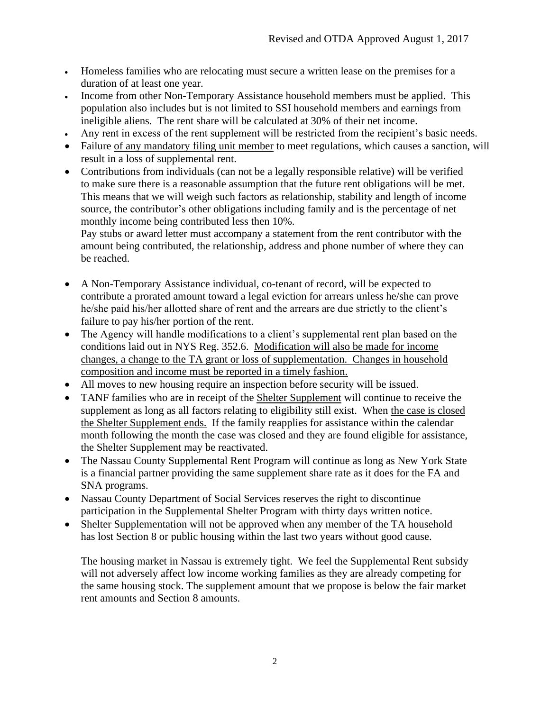- Homeless families who are relocating must secure a written lease on the premises for a duration of at least one year.
- Income from other Non-Temporary Assistance household members must be applied. This population also includes but is not limited to SSI household members and earnings from ineligible aliens. The rent share will be calculated at 30% of their net income.
- Any rent in excess of the rent supplement will be restricted from the recipient's basic needs.
- Failure of any mandatory filing unit member to meet regulations, which causes a sanction, will result in a loss of supplemental rent.
- Contributions from individuals (can not be a legally responsible relative) will be verified to make sure there is a reasonable assumption that the future rent obligations will be met. This means that we will weigh such factors as relationship, stability and length of income source, the contributor's other obligations including family and is the percentage of net monthly income being contributed less then 10%.

Pay stubs or award letter must accompany a statement from the rent contributor with the amount being contributed, the relationship, address and phone number of where they can be reached.

- A Non-Temporary Assistance individual, co-tenant of record, will be expected to contribute a prorated amount toward a legal eviction for arrears unless he/she can prove he/she paid his/her allotted share of rent and the arrears are due strictly to the client's failure to pay his/her portion of the rent.
- The Agency will handle modifications to a client's supplemental rent plan based on the conditions laid out in NYS Reg. 352.6. Modification will also be made for income changes, a change to the TA grant or loss of supplementation. Changes in household composition and income must be reported in a timely fashion.
- All moves to new housing require an inspection before security will be issued.
- TANF families who are in receipt of the Shelter Supplement will continue to receive the supplement as long as all factors relating to eligibility still exist. When the case is closed the Shelter Supplement ends. If the family reapplies for assistance within the calendar month following the month the case was closed and they are found eligible for assistance, the Shelter Supplement may be reactivated.
- The Nassau County Supplemental Rent Program will continue as long as New York State is a financial partner providing the same supplement share rate as it does for the FA and SNA programs.
- Nassau County Department of Social Services reserves the right to discontinue participation in the Supplemental Shelter Program with thirty days written notice.
- Shelter Supplementation will not be approved when any member of the TA household has lost Section 8 or public housing within the last two years without good cause.

The housing market in Nassau is extremely tight. We feel the Supplemental Rent subsidy will not adversely affect low income working families as they are already competing for the same housing stock. The supplement amount that we propose is below the fair market rent amounts and Section 8 amounts.